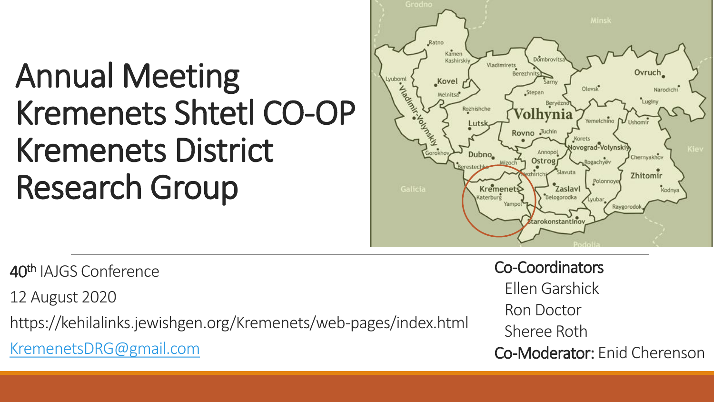### Annual Meeting Kremenets Shtetl CO-OP Kremenets District Research Group



40th IAJGS Conference

12 August 2020

https://kehilalinks.jewishgen.org/Kremenets/web-pages/index.html

[KremenetsDRG@gmail.com](mailto:KremenetsDRG@gmail.com) 

Co-Coordinators Ellen Garshick Ron Doctor Sheree Roth Co-Moderator: Enid Cherenson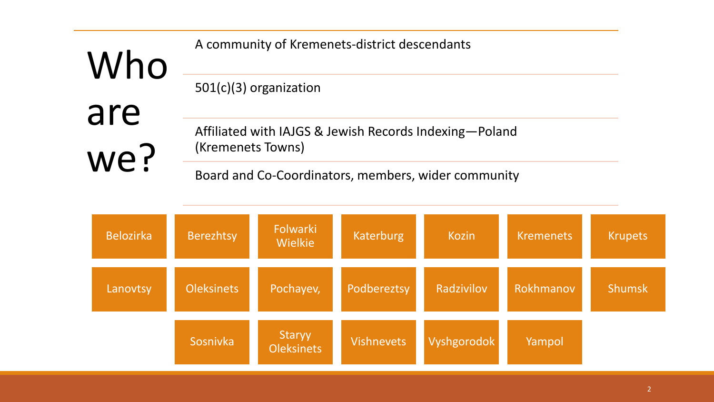| Who | A community of Kremenets-district descendants          |  |
|-----|--------------------------------------------------------|--|
|     | $501(c)(3)$ organization                               |  |
| are |                                                        |  |
|     | Affiliated with IAJGS & Jewish Records Indexing-Poland |  |
| we? | (Kremenets Towns)                                      |  |
|     | Board and Co-Coordinators, members, wider community    |  |

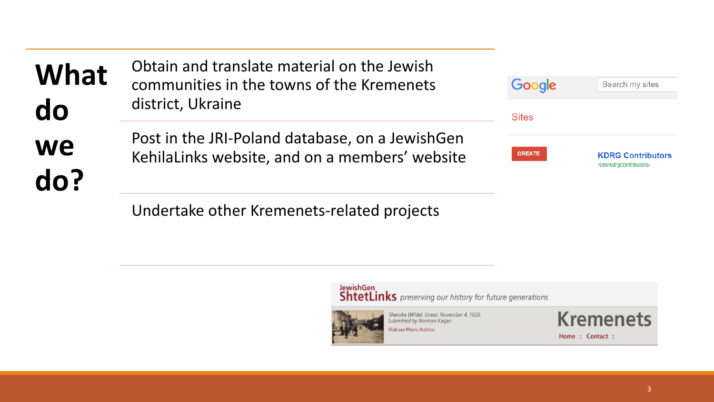| <b>What</b>      | Obtain and translate material on the Jewish<br>communities in the towns of the Kremenets          | Google        | Search my sites                                     |
|------------------|---------------------------------------------------------------------------------------------------|---------------|-----------------------------------------------------|
| do               | district, Ukraine                                                                                 | <b>Sites</b>  |                                                     |
| <b>we</b><br>do? | Post in the JRI-Poland database, on a JewishGen<br>KehilaLinks website, and on a members' website | <b>CREATE</b> | <b>KDRG Contributors</b><br>/site/kdrgcontributors/ |
|                  | Undertake other Kremenets-related projects                                                        |               |                                                     |

JewishGen<br>ShtetLinks preserving our history for future generations



Sheroka (Wide) Street. November 4, 1929.<br>Submitted by Norman Kagan Visit our Photo Archive



Home: Contact: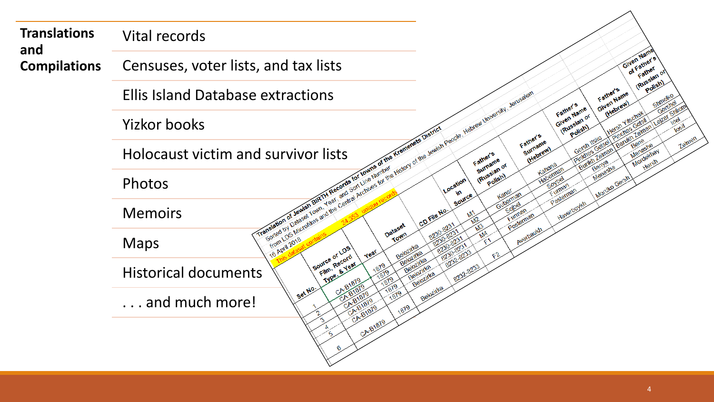| <b>Translations</b>        | Vital records                                                                                                                                                                                 |                                                                                                                                    |
|----------------------------|-----------------------------------------------------------------------------------------------------------------------------------------------------------------------------------------------|------------------------------------------------------------------------------------------------------------------------------------|
| and<br><b>Compilations</b> | Censuses, voter lists, and tax lists                                                                                                                                                          | Given Name<br>of Father's<br>Father                                                                                                |
|                            | <b>Ellis Island Database extractions</b>                                                                                                                                                      | (Russian or<br>Polish)<br>Father's<br>Given Name<br>Gershel                                                                        |
|                            | If rom to 5 Microfline and the Central Architect of the History of the Jewish Pacifies History is the Central Architect of the Jewish Pacifies in University Jerusalem<br><b>Yizkor books</b> | (Hebrew)<br>Father's<br>Given Name<br>Leter Shion<br>(Russian or<br>Hersh Yitschak<br>Polish)<br>0 <sup>5</sup>                    |
|                            | Holocaust victim and survivor lists                                                                                                                                                           | (Pinthes Gelse) Pinchas Gelsil<br>Burith Zeiman Baruth Zalman I.<br>Father's<br>1elme<br>Surname<br>(Hebrew)<br>Mordekhay<br>Hersh |
|                            | Translation of Jewish Final Translation of the Kreineners District<br>Photos                                                                                                                  | Menasha<br>Haberman<br>Soybel<br>Mordko Gersh<br>Furman<br>Pasterman                                                               |
|                            | <b>Memoirs</b>                                                                                                                                                                                | Haverboykh                                                                                                                         |
|                            | 1 16 April 2018<br><b>Maps</b><br>Belozinka<br>Source of LDS<br>year<br>Belozinka                                                                                                             | Averbaukh<br>8230-8231<br>8230-8231                                                                                                |
|                            | Film, Record<br>Belozirka<br><b>Type &amp; Year</b><br>1879<br>Belozinka<br><b>Historical documents</b><br>Belozirka                                                                          | 8232-8233                                                                                                                          |
|                            | 1879<br>Set No.<br>CA-B181<br>1879<br>CA-B1879<br>and much more!<br>CA-B1879<br>18/9<br>CABIBIO                                                                                               |                                                                                                                                    |
|                            | CA-B1879                                                                                                                                                                                      |                                                                                                                                    |
|                            |                                                                                                                                                                                               |                                                                                                                                    |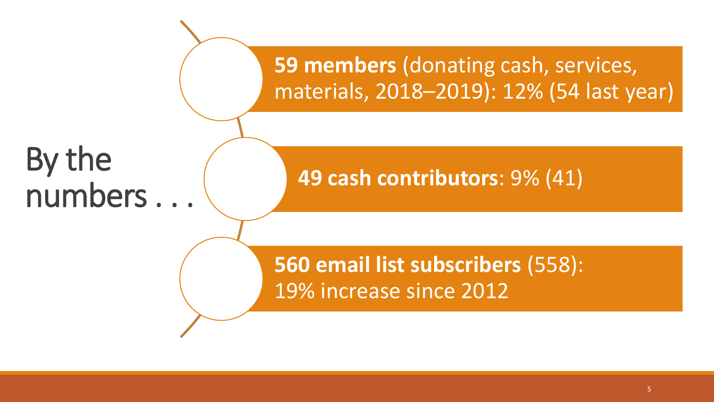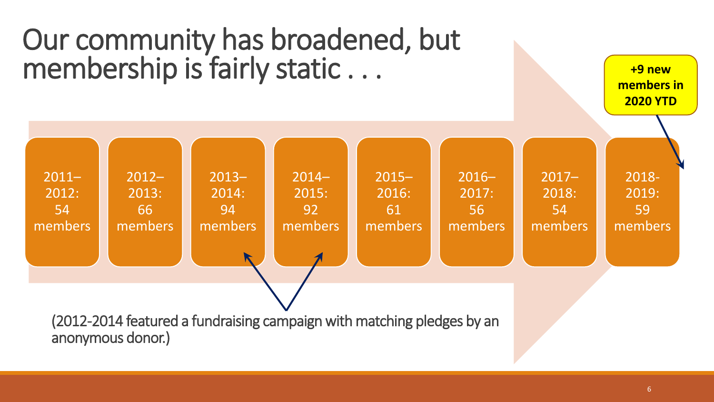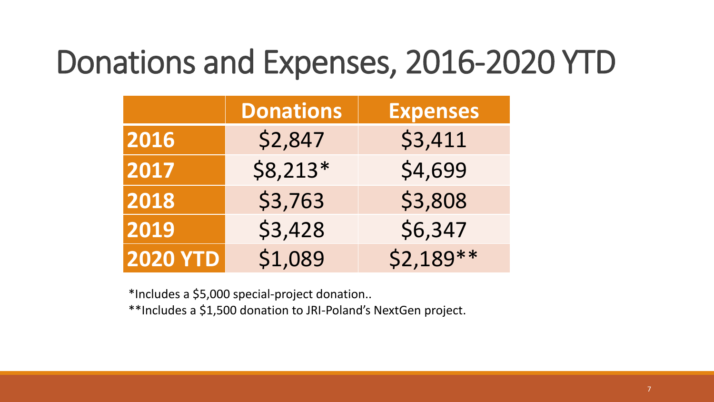### Donations and Expenses, 2016-2020 YTD

|                 | <b>Donations</b> | <b>Expenses</b> |
|-----------------|------------------|-----------------|
| 2016            | \$2,847          | \$3,411         |
| 2017            | $$8,213*$        | \$4,699         |
| 2018            | \$3,763          | \$3,808         |
| 2019            | \$3,428          | \$6,347         |
| <b>2020 YTD</b> | \$1,089          | $$2,189**$      |

\*Includes a \$5,000 special-project donation..

\*\*Includes a \$1,500 donation to JRI-Poland's NextGen project.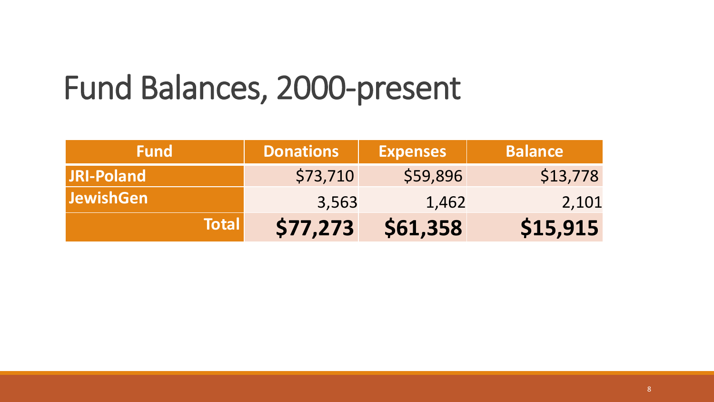### Fund Balances, 2000-present

| <b>Fund</b>       | <b>Donations</b> | <b>Expenses</b> | <b>Balance</b> |
|-------------------|------------------|-----------------|----------------|
| <b>JRI-Poland</b> | \$73,710         | \$59,896        | \$13,778       |
| <b>JewishGen</b>  | 3,563            | 1,462           | 2,101          |
| <b>Total</b>      | \$77,273         | \$61,358        | \$15,915       |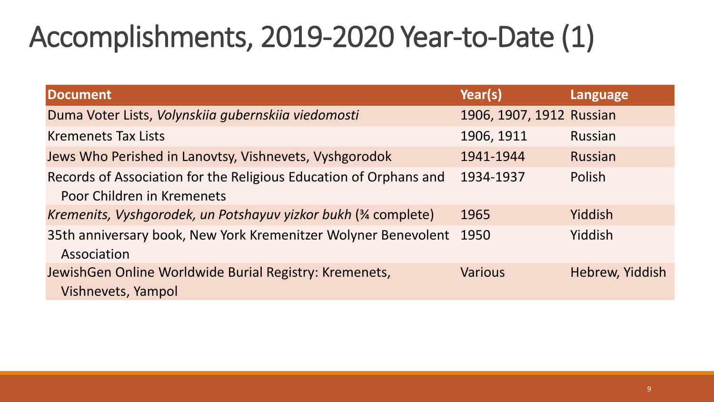### Accomplishments, 2019-2020 Year-to-Date (1)

| <b>Document</b>                                                                                 | Year(s)                  | Language        |
|-------------------------------------------------------------------------------------------------|--------------------------|-----------------|
| Duma Voter Lists, Volynskiia gubernskiia viedomosti                                             | 1906, 1907, 1912 Russian |                 |
| <b>Kremenets Tax Lists</b>                                                                      | 1906, 1911               | Russian         |
| Jews Who Perished in Lanovtsy, Vishnevets, Vyshgorodok                                          | 1941-1944                | Russian         |
| Records of Association for the Religious Education of Orphans and<br>Poor Children in Kremenets | 1934-1937                | Polish          |
| Kremenits, Vyshgorodek, un Potshayuv yizkor bukh (34 complete)                                  | 1965                     | Yiddish         |
| 35th anniversary book, New York Kremenitzer Wolyner Benevolent<br>Association                   | 1950                     | Yiddish         |
| JewishGen Online Worldwide Burial Registry: Kremenets,<br>Vishnevets, Yampol                    | <b>Various</b>           | Hebrew, Yiddish |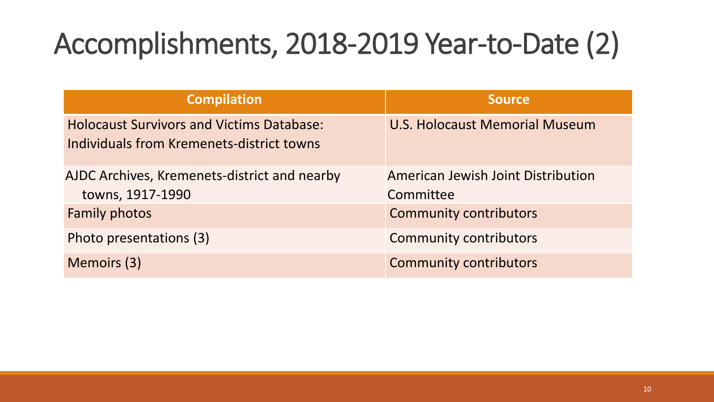### Accomplishments, 2018-2019 Year-to-Date (2)

| <b>Compilation</b>                                                                            | <b>Source</b>                                   |
|-----------------------------------------------------------------------------------------------|-------------------------------------------------|
| <b>Holocaust Survivors and Victims Database:</b><br>Individuals from Kremenets-district towns | U.S. Holocaust Memorial Museum                  |
| AJDC Archives, Kremenets-district and nearby<br>towns, 1917-1990                              | American Jewish Joint Distribution<br>Committee |
| <b>Family photos</b>                                                                          | <b>Community contributors</b>                   |
| Photo presentations (3)                                                                       | <b>Community contributors</b>                   |
| Memoirs (3)                                                                                   | <b>Community contributors</b>                   |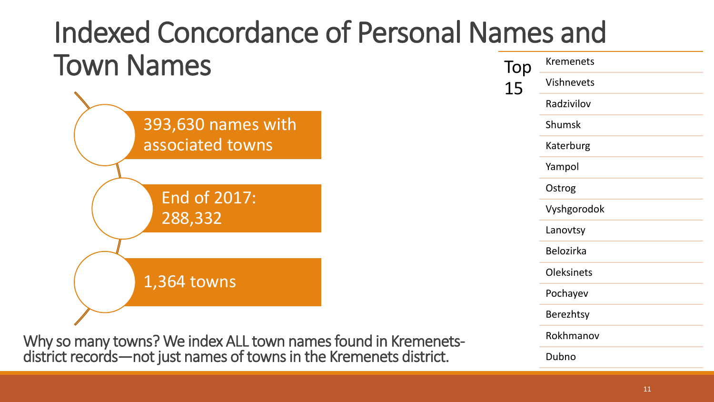### Indexed Concordance of Personal Names and Town Names To Kremenets



Why so many towns? We index ALL town names found in Kremenetsdistrict records—not just names of towns in the Kremenets district.

| Тор<br>15 | <b>Kremenets</b>  |
|-----------|-------------------|
|           | Vishnevets        |
|           | Radzivilov        |
|           | Shumsk            |
|           | Katerburg         |
|           | Yampol            |
|           | Ostrog            |
|           | Vyshgorodok       |
|           | Lanovtsy          |
|           | <b>Belozirka</b>  |
|           | <b>Oleksinets</b> |
|           | Pochayev          |
|           | <b>Berezhtsy</b>  |
|           | Rokhmanov         |
|           | Dubno             |
|           |                   |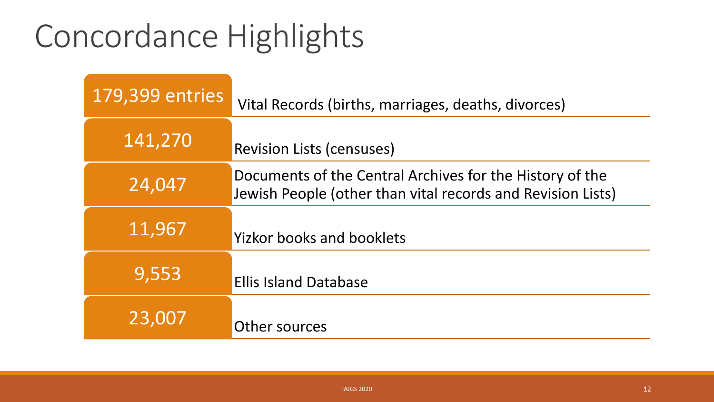### Concordance Highlights

| <b>179,399 entries</b> | Vital Records (births, marriages, deaths, divorces)                                                                     |
|------------------------|-------------------------------------------------------------------------------------------------------------------------|
| 141,270                | <b>Revision Lists (censuses)</b>                                                                                        |
| 24,047                 | Documents of the Central Archives for the History of the<br>Jewish People (other than vital records and Revision Lists) |
| 11,967                 | <b>Yizkor books and booklets</b>                                                                                        |
| 9,553                  | <b>Ellis Island Database</b>                                                                                            |
| 23,007                 | Other sources                                                                                                           |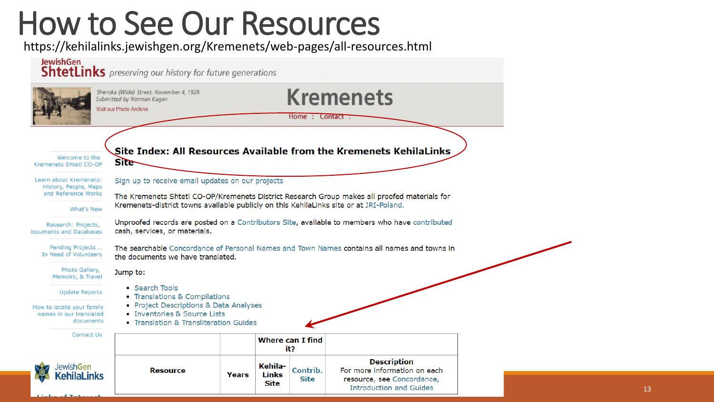### How to See Our Resources

https://kehilalinks.jewishgen.org/Kremenets/web-pages/all-resources.html

### **JewishGen ShtetLinks** preserving our history for future generations **Kremenets** Sheroka (Wide) Street. November 4, 1929. Submitted by Norman Kagan **Visit our Photo Archive** Home: Contact: Site Index: All Resources Available from the Kremenets KehilaLinks Welcome to the **Site** Kremenets Shtetl CO-OP Sign up to receive email updates on our projects Learn about Kremenets: History, People, Maps and Reference Works The Kremenets Shtetl CO-OP/Kremenets District Research Group makes all proofed materials for Kremenets-district towns available publicly on this KehilaLinks site or at JRI-Poland. What's New Unproofed records are posted on a Contributors Site, available to members who have contributed Research: Projects, **Couments and Databases** cash, services, or materials. Pending Projects ... The searchable Concordance of Personal Names and Town Names contains all names and towns in In Need of Volunteers the documents we have translated. Photo Gallery, Jump to: Memoirs, & Travel • Search Tools **Update Reports** • Translations & Compilations • Project Descriptions & Data Analyses How to locate your family • Inventories & Source Lists names in our translated documents • Translation & Transliteration Guides Contact Us **Where can I find** it? **Description** KehilalewishGen For more information on each **Resource** Contrib. Years Links **Site** resource, see Concordance, **Site Introduction and Guides**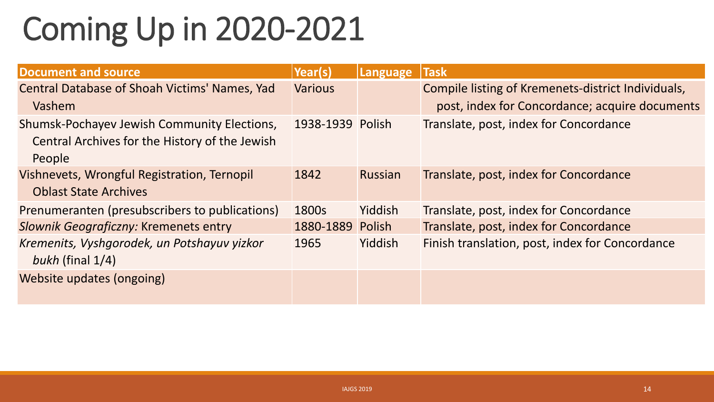## Coming Up in 2020-2021

| <b>Document and source</b>                           | Year(s)          | Language       | <b>Task</b>                                        |
|------------------------------------------------------|------------------|----------------|----------------------------------------------------|
| <b>Central Database of Shoah Victims' Names, Yad</b> | <b>Various</b>   |                | Compile listing of Kremenets-district Individuals, |
| Vashem                                               |                  |                | post, index for Concordance; acquire documents     |
| Shumsk-Pochayev Jewish Community Elections,          | 1938-1939 Polish |                | Translate, post, index for Concordance             |
| Central Archives for the History of the Jewish       |                  |                |                                                    |
| People                                               |                  |                |                                                    |
| Vishnevets, Wrongful Registration, Ternopil          | 1842             | <b>Russian</b> | Translate, post, index for Concordance             |
| <b>Oblast State Archives</b>                         |                  |                |                                                    |
| Prenumeranten (presubscribers to publications)       | 1800s            | Yiddish        | Translate, post, index for Concordance             |
| Slownik Geograficzny: Kremenets entry                | 1880-1889 Polish |                | Translate, post, index for Concordance             |
| Kremenits, Vyshgorodek, un Potshayuv yizkor          | 1965             | Yiddish        | Finish translation, post, index for Concordance    |
| bukh (final $1/4$ )                                  |                  |                |                                                    |
| Website updates (ongoing)                            |                  |                |                                                    |
|                                                      |                  |                |                                                    |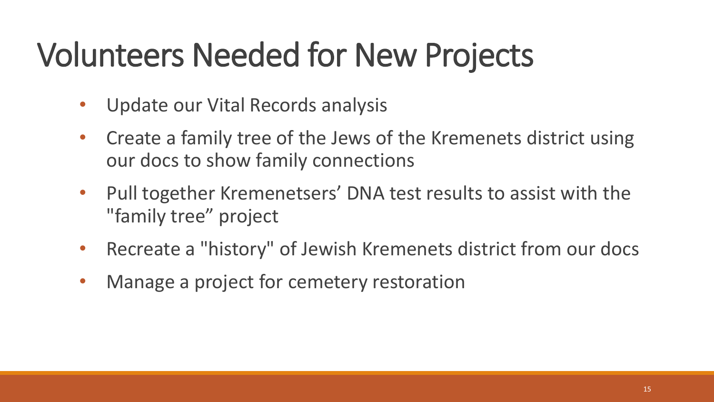### Volunteers Needed for New Projects

- Update our Vital Records analysis
- Create a family tree of the Jews of the Kremenets district using our docs to show family connections
- Pull together Kremenetsers' DNA test results to assist with the "family tree" project
- Recreate a "history" of Jewish Kremenets district from our docs
- Manage a project for cemetery restoration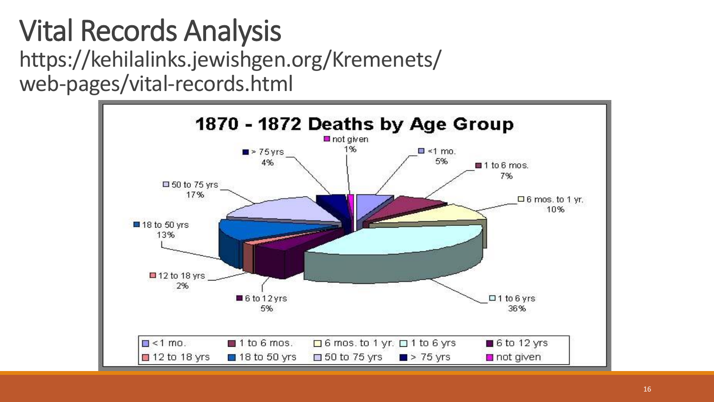### Vital Records Analysis https://kehilalinks.jewishgen.org/Kremenets/ web-pages/vital-records.html

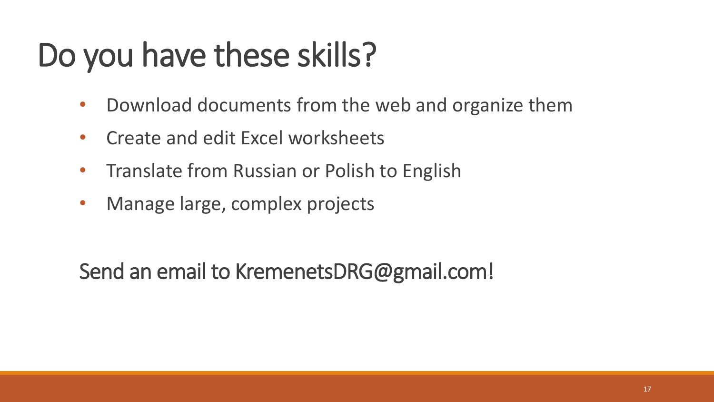### Do you have these skills?

- Download documents from the web and organize them
- Create and edit Excel worksheets
- Translate from Russian or Polish to English
- Manage large, complex projects

Send an email to KremenetsDRG@gmail.com!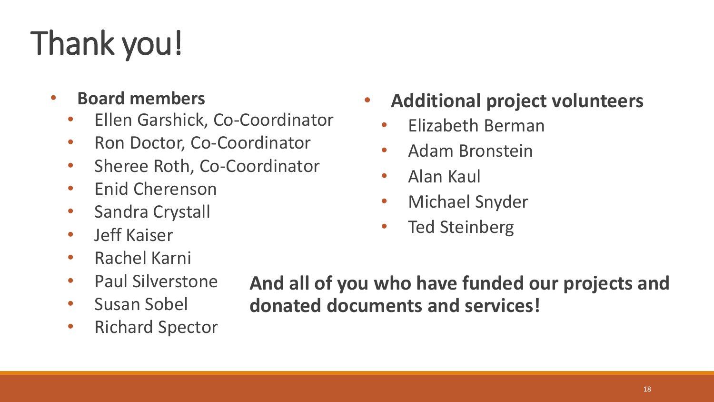# Thank you!

- **Board members**
	- Ellen Garshick, Co-Coordinator
	- Ron Doctor, Co-Coordinator
	- Sheree Roth, Co-Coordinator
	- Enid Cherenson
	- Sandra Crystall
	- Jeff Kaiser
	- Rachel Karni
	- Paul Silverstone
	- Susan Sobel
	- Richard Spector
- **Additional project volunteers**
	- Elizabeth Berman
	- Adam Bronstein
	- Alan Kaul
	- Michael Snyder
	- Ted Steinberg

**And all of you who have funded our projects and donated documents and services!**